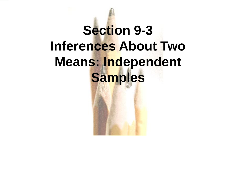## **Section 9-3 Inferences About Two Means: Independent Samples**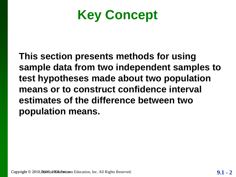**Key Concept**

**This section presents methods for using sample data from two independent samples to test hypotheses made about two population means or to construct confidence interval estimates of the difference between two population means.**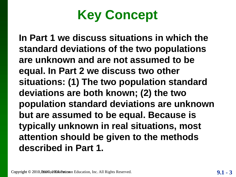## **Key Concept**

**In Part 1 we discuss situations in which the standard deviations of the two populations are unknown and are not assumed to be equal. In Part 2 we discuss two other situations: (1) The two population standard deviations are both known; (2) the two population standard deviations are unknown but are assumed to be equal. Because is typically unknown in real situations, most attention should be given to the methods described in Part 1.**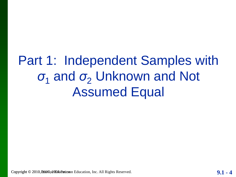## Part 1: Independent Samples with *σ*<sub>1</sub> and *σ*<sub>2</sub> Unknown and Not Assumed Equal

Copyright © 2010, 2007, 2007, 2009, 2009, 2010, 2010, 2010, 2010, 2010, 2010, 2010, 2010, 2010, 2010, 2010, 2010, 2010, 2010, 2010, 2010, 2010, 2010, 2010, 2010, 2010, 2010, 2010, 2010, 2010, 2010, 2010, 2010, 2010, 2010,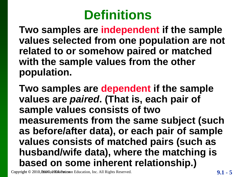## **Definitions**

**Two samples are independent if the sample values selected from one population are not related to or somehow paired or matched with the sample values from the other population.** 

**Two samples are dependent if the sample values are** *paired***. (That is, each pair of sample values consists of two measurements from the same subject (such as before/after data), or each pair of sample values consists of matched pairs (such as husband/wife data), where the matching is based on some inherent relationship.)**

Copyright © 2010, 2007, 2007, 2009, 2009, 2010, 2010, 2010, 2010, 2010, 2010, 2010, 2010, 2010, 2010, 2010, 2010, 2010, 2010, 2010, 2010, 2010, 2010, 2010, 2010, 2010, 2010, 2010, 2010, 2010, 2010, 2010, 2010, 2010, 2010,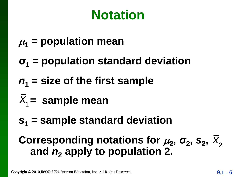## **Notation**

- $\mu_1$  = population mean
- *σ***<sup>1</sup> = population standard deviation**
- *n***<sup>1</sup> = size of the first sample**
- $\overline{X}_1$  = sample mean
- *s***<sup>1</sup> = sample standard deviation**

## **Corresponding notations for**  $\mu_2$ **,**  $\sigma_2$ **,**  $S_2$ **,**  $\overline{X}_2$ **and** *n***<sup>2</sup> apply to population 2.**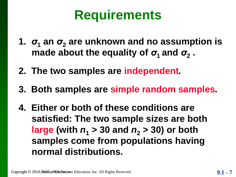## **Requirements**

- **1.**  $\sigma_1$  an  $\sigma_2$  are unknown and no assumption is **made about the equality of**  $\sigma_1$  **and**  $\sigma_2$ **.**
- **2. The two samples are independent***.*
- **3. Both samples are simple random samples***.*
- **4. Either or both of these conditions are satisfied: The two sample sizes are both large** (with  $n_1 > 30$  and  $n_2 > 30$ ) or both **samples come from populations having normal distributions.**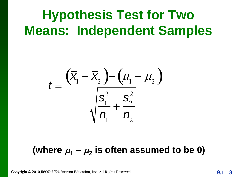## **Hypothesis Test for Two Means: Independent Samples**



#### (where  $\mu_1 - \mu_2$  is often assumed to be 0)

$$
9.1-8
$$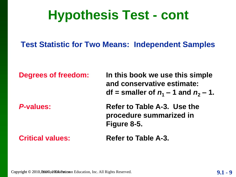## **Hypothesis Test - cont**

#### **Test Statistic for Two Means: Independent Samples**

**Degrees of freedom: In this book we use this simple and conservative estimate: df** = smaller of  $n_1 - 1$  and  $n_2 - 1$ .

**P-values: Refer to Table A-3. Use the procedure summarized in Figure 8-5.**

**Critical values: Refer to Table A-3.**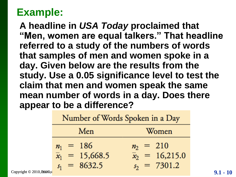**A headline in** *USA Today* **proclaimed that "Men, women are equal talkers." That headline referred to a study of the numbers of words that samples of men and women spoke in a day. Given below are the results from the study. Use a 0.05 significance level to test the claim that men and women speak the same mean number of words in a day. Does there appear to be a difference?**

|                           | Number of Words Spoken in a Day |                        |                        |  |  |  |
|---------------------------|---------------------------------|------------------------|------------------------|--|--|--|
|                           |                                 | Men                    | Women                  |  |  |  |
|                           |                                 | $n_1 = 186$            | $n_2 = 210$            |  |  |  |
|                           |                                 | $\bar{x}_1 = 15,668.5$ | $\bar{x}_2 = 16,215.0$ |  |  |  |
| Copyright © 2010, PAMW301 |                                 | $s_1 = 8632.5$         | $s_2 = 7301.2$         |  |  |  |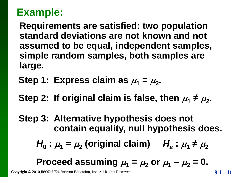**Requirements are satisfied: two population standard deviations are not known and not assumed to be equal, independent samples, simple random samples, both samples are large.**

- Step 1: Express claim as  $\mu_1 = \mu_2$ .
- Step 2: If original claim is false, then  $\mu_1 \neq \mu_2$ .

**Step 3: Alternative hypothesis does not contain equality, null hypothesis does.** 

$$
H_0
$$
:  $\mu_1 = \mu_2$  (original claim)  $H_a$ :  $\mu_1 \neq \mu_2$ 

Proceed assuming 
$$
\mu_1 = \mu_2
$$
 or  $\mu_1 - \mu_2 = 0$ .

Copyright © 2010, 2007, 2007, 2008, 2009, 2010, 2010, 2010, 2010, 2010, 2010, 2010, 2010, 2010, 2010, 2010, 201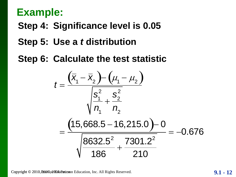**Step 4: Significance level is 0.05**

**Step 5: Use a** *t* **distribution** 

**Step 6: Calculate the test statistic** 

$$
t = \frac{(\bar{x}_1 - \bar{x}_2) - (\mu_1 - \mu_2)}{\sqrt{\frac{s_1^2}{n_1} + \frac{s_2^2}{n_2}}}
$$
  
= 
$$
\frac{(15,668.5 - 16,215.0) - 0}{\sqrt{\frac{8632.5^2}{186} + \frac{7301.2^2}{210}}} = -0.676
$$

Copyright © 2010, Part of The Part of Education, Inc. All Rights Reserved. 2010 Pearson Pearson Education, Inc. All Rights Reserved.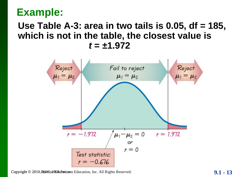#### **Use Table A-3: area in two tails is 0.05, df = 185, which is not in the table, the closest value is** *t* **= ±1.972**



Copyright © 2010, Pearson Pearson Education, Inc. All Rights Reserved. 2010 Pearson Pearson Pearson Education, Inc. All Rights Reserved.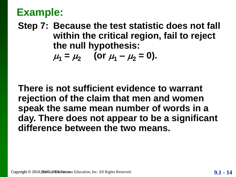**Step 7: Because the test statistic does not fall within the critical region, fail to reject the null hypothesis:**

$$
\mu_1 = \mu_2
$$
 (or  $\mu_1 - \mu_2 = 0$ ).

**There is not sufficient evidence to warrant rejection of the claim that men and women speak the same mean number of words in a day. There does not appear to be a significant difference between the two means.**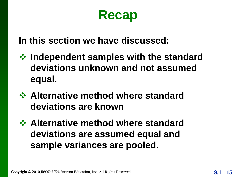## **Recap**

**In this section we have discussed:**

- **Independent samples with the standard deviations unknown and not assumed equal.**
- **☆ Alternative method where standard deviations are known**
- **☆ Alternative method where standard deviations are assumed equal and sample variances are pooled.**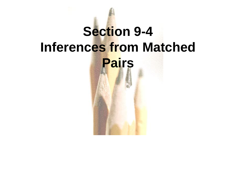# **Section 9-4 Inferences from Matched Pairs**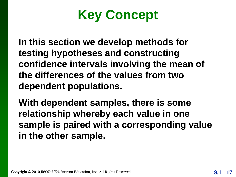

**In this section we develop methods for testing hypotheses and constructing confidence intervals involving the mean of the differences of the values from two dependent populations.** 

**With dependent samples, there is some relationship whereby each value in one sample is paired with a corresponding value in the other sample.**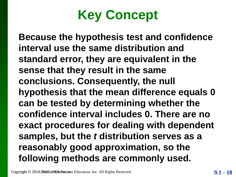

**Because the hypothesis test and confidence interval use the same distribution and standard error, they are equivalent in the sense that they result in the same conclusions. Consequently, the null hypothesis that the mean difference equals 0 can be tested by determining whether the confidence interval includes 0. There are no exact procedures for dealing with dependent samples, but the** *t* **distribution serves as a reasonably good approximation, so the following methods are commonly used.** 

Copyright © 2010, 2007, 2007, 2009, 2009, 2010, 2010, 2010, 2010, 2010, 2010, 2010, 2010, 2010, 2010, 2010, 2010, 2010, 2010, 2010, 2010, 2010, 2010, 2010, 2010, 2010, 2010, 2010, 2010, 2010, 2010, 2010, 2010, 2010, 2010,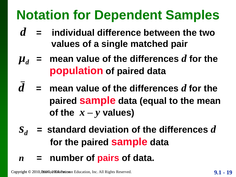## **Notation for Dependent Samples**

- *d* **= individual difference between the two values of a single matched pair**
- $\mu_d$  = mean value of the differences *d* for the **population of paired data**
- $d$  = mean value of the differences  $d$  for the **paired sample data (equal to the mean of the**  $x - y$  **values**)
- *s<sup>d</sup>* **= standard deviation of the differences** *d* **for the paired sample data**
- *n* **= number of pairs of data.**

Copyright © 2010, Part of Table 2010, Part of Table 2010, Pearson Education, Inc. All Rights Reserved.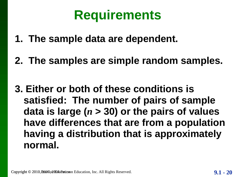## **Requirements**

- **1. The sample data are dependent.**
- **2. The samples are simple random samples.**
- **3. Either or both of these conditions is satisfied: The number of pairs of sample data is large (***n* **> 30) or the pairs of values have differences that are from a population having a distribution that is approximately normal.**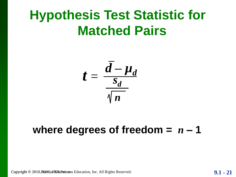## **Hypothesis Test Statistic for Matched Pairs**

$$
t = \frac{\bar{d} - \mu_d}{\frac{S_d}{\sqrt{n}}}
$$

#### where degrees of freedom  $=$   $n - 1$

Copyright © 2010, Pearson Pearson Education, Inc. All Rights Reserved. 2010 **9.1 - 21**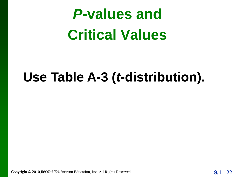## *P***-values and Critical Values**

## **Use Table A-3 (***t***-distribution).**

Copyright © 2010, Pearly 30 all Multiplation Education, Inc. All Rights Reserved. 2010 Pearson Pearson Education, Inc. All Rights Reserved.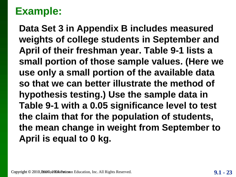**Data Set 3 in Appendix B includes measured weights of college students in September and April of their freshman year. Table 9-1 lists a small portion of those sample values. (Here we use only a small portion of the available data so that we can better illustrate the method of hypothesis testing.) Use the sample data in Table 9-1 with a 0.05 significance level to test the claim that for the population of students, the mean change in weight from September to April is equal to 0 kg.**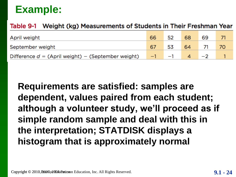#### Table 9-1 Weight (kg) Measurements of Students in Their Freshman Year

| April weight                                         | 66 | 52        | 68     | 69 |     |
|------------------------------------------------------|----|-----------|--------|----|-----|
| September weight                                     |    | 53        | 64 71  |    | -70 |
| Difference $d = (April weight) - (September weight)$ |    | $-1$ $-1$ | $4 -2$ |    |     |

**Requirements are satisfied: samples are dependent, values paired from each student; although a volunteer study, we'll proceed as if simple random sample and deal with this in the interpretation; STATDISK displays a histogram that is approximately normal**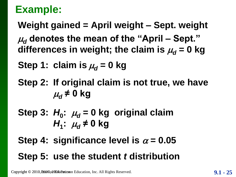**Weight gained = April weight – Sept. weight**  $\mu_d$  denotes the mean of the "April – Sept." differences in weight; the claim is  $\mu_d = 0$  kg

**Step 1: claim is**  $\mu_d = 0$  **kg** 

**Step 2: If original claim is not true, we have**   $\mu_d \neq 0$  kg

Step 3:  $H_0$ :  $\mu_d$  = 0 kg original claim *H*<sub>1</sub>:  $\mu$ <sup>*d*</sup> ≠ 0 kg

**Step 4: significance level is**  $\alpha = 0.05$ **Step 5: use the student** *t* **distribution**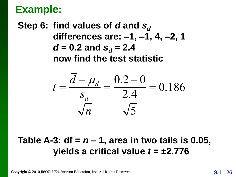**Step 6: find values of** *d* **and** *s***<sup>***d***</sup> differences are: –1, –1, 4, –2, 1** *d* = 0.2 and  $s_d$  = 2.4 **now find the test statistic**



#### **Table A-3: df =** *n* **– 1, area in two tails is 0.05, yields a critical value** *t* **= ±2.776**

Copyright © 2010, **2007**, 2009, 2009, 2009, 2010 Pearson Education, Inc. All Rights Reserved.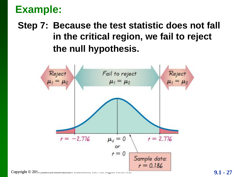#### **Step 7: Because the test statistic does not fall in the critical region, we fail to reject the null hypothesis.**

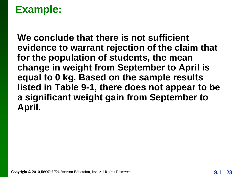**We conclude that there is not sufficient evidence to warrant rejection of the claim that for the population of students, the mean change in weight from September to April is equal to 0 kg. Based on the sample results listed in Table 9-1, there does not appear to be a significant weight gain from September to April.**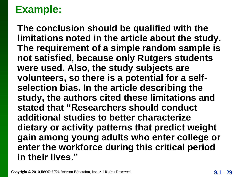**The conclusion should be qualified with the limitations noted in the article about the study. The requirement of a simple random sample is not satisfied, because only Rutgers students were used. Also, the study subjects are volunteers, so there is a potential for a selfselection bias. In the article describing the study, the authors cited these limitations and stated that "Researchers should conduct additional studies to better characterize dietary or activity patterns that predict weight gain among young adults who enter college or enter the workforce during this critical period in their lives."**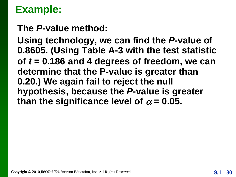**The** *P***-value method:**

**Using technology, we can find the** *P***-value of 0.8605. (Using Table A-3 with the test statistic of** *t* **= 0.186 and 4 degrees of freedom, we can determine that the P-value is greater than 0.20.) We again fail to reject the null hypothesis, because the** *P***-value is greater**  than the significance level of  $\alpha$  = 0.05.